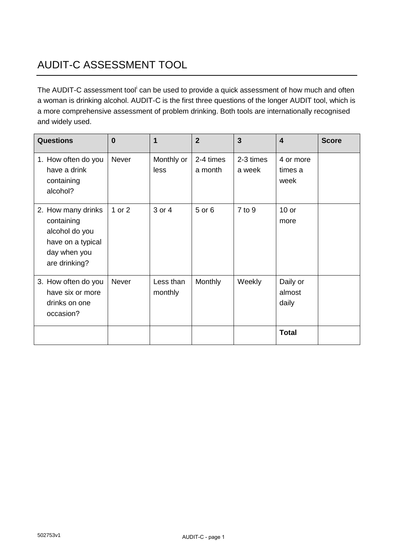## AUDIT-C ASSESSMENT TOOL

The AUDIT-C assessment tool<sup>i</sup> can be used to provide a quick assessment of how much and often a woman is drinking alcohol. AUDIT-C is the first three questions of the longer AUDIT tool, which is a more comprehensive assessment of problem drinking. Both tools are internationally recognised and widely used.

| <b>Questions</b>                                                                                         | $\bf{0}$     | 1                    | $\overline{2}$       | $\overline{3}$      | $\overline{\mathbf{4}}$      | <b>Score</b> |
|----------------------------------------------------------------------------------------------------------|--------------|----------------------|----------------------|---------------------|------------------------------|--------------|
| 1. How often do you<br>have a drink<br>containing<br>alcohol?                                            | <b>Never</b> | Monthly or<br>less   | 2-4 times<br>a month | 2-3 times<br>a week | 4 or more<br>times a<br>week |              |
| 2. How many drinks<br>containing<br>alcohol do you<br>have on a typical<br>day when you<br>are drinking? | 1 or $2$     | 3 or 4               | 5 or 6               | $7$ to $9$          | $10$ or<br>more              |              |
| 3. How often do you<br>have six or more<br>drinks on one<br>occasion?                                    | <b>Never</b> | Less than<br>monthly | Monthly              | Weekly              | Daily or<br>almost<br>daily  |              |
|                                                                                                          |              |                      |                      |                     | <b>Total</b>                 |              |